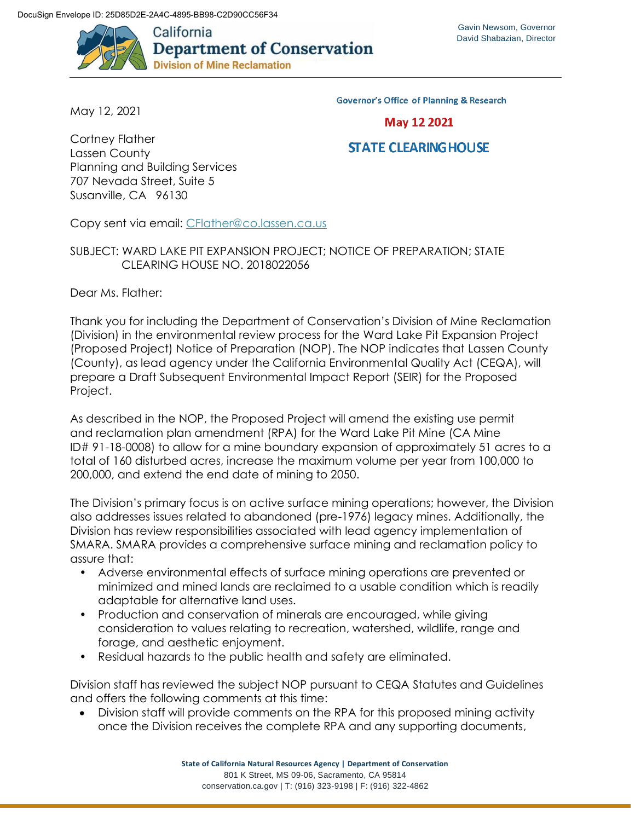

May 12, 2021

**Governor's Office of Planning & Research** 

May 12 2021

## **STATE CLEARING HOUSE**

Cortney Flather Lassen County Planning and Building Services 707 Nevada Street, Suite 5 Susanville, CA 96130

Copy sent via email: [CFlather@co.lassen.ca.us](mailto:CFlather@co.lassen.ca.us)

## SUBJECT: WARD LAKE PIT EXPANSION PROJECT; NOTICE OF PREPARATION; STATE CLEARING HOUSE NO. 2018022056

Dear Ms. Flather:

Thank you for including the Department of Conservation's Division of Mine Reclamation (Division) in the environmental review process for the Ward Lake Pit Expansion Project (Proposed Project) Notice of Preparation (NOP). The NOP indicates that Lassen County (County), as lead agency under the California Environmental Quality Act (CEQA), will prepare a Draft Subsequent Environmental Impact Report (SEIR) for the Proposed Project.

As described in the NOP, the Proposed Project will amend the existing use permit and reclamation plan amendment (RPA) for the Ward Lake Pit Mine (CA Mine ID# 91-18-0008) to allow for a mine boundary expansion of approximately 51 acres to a total of 160 disturbed acres, increase the maximum volume per year from 100,000 to 200,000, and extend the end date of mining to 2050.

The Division's primary focus is on active surface mining operations; however, the Division also addresses issues related to abandoned (pre-1976) legacy mines. Additionally, the Division has review responsibilities associated with lead agency implementation of SMARA. SMARA provides a comprehensive surface mining and reclamation policy to assure that:

- Adverse environmental effects of surface mining operations are prevented or minimized and mined lands are reclaimed to a usable condition which is readily adaptable for alternative land uses.
- Production and conservation of minerals are encouraged, while giving consideration to values relating to recreation, watershed, wildlife, range and forage, and aesthetic enjoyment.
- Residual hazards to the public health and safety are eliminated.

Division staff has reviewed the subject NOP pursuant to CEQA Statutes and Guidelines and offers the following comments at this time:

• Division staff will provide comments on the RPA for this proposed mining activity once the Division receives the complete RPA and any supporting documents,